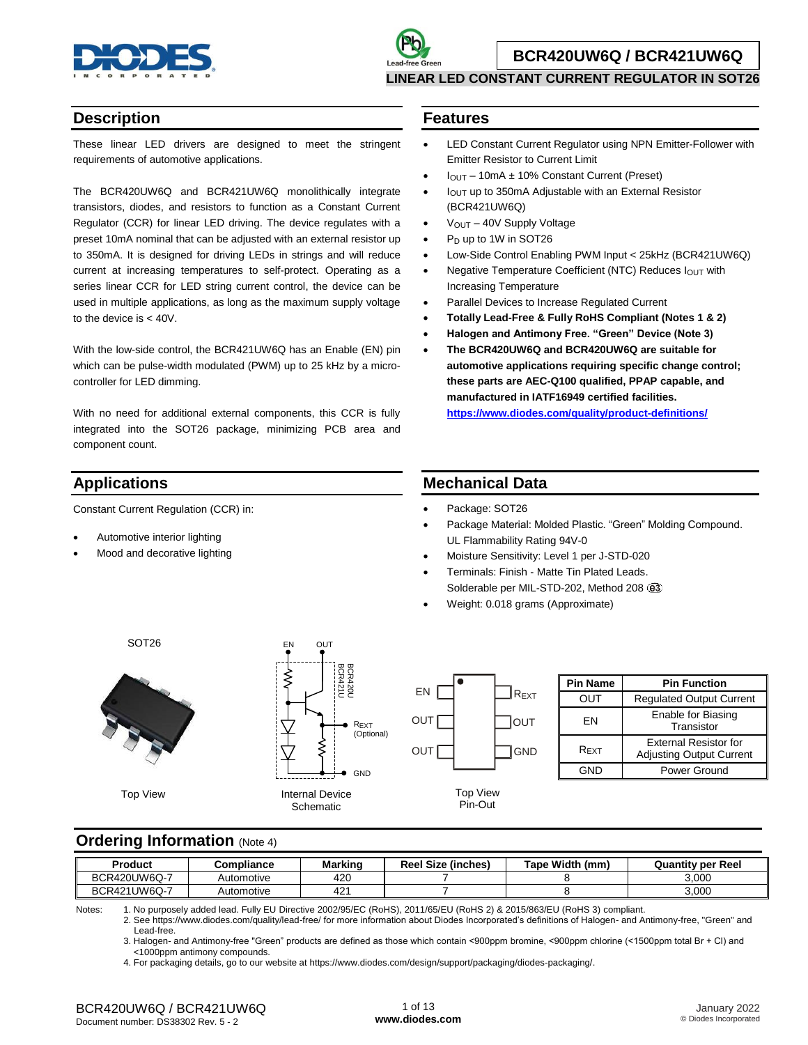

#### **LINEAR LED CONSTANT CURRENT REGULATOR IN SOT26**

#### **Description**

These linear LED drivers are designed to meet the stringent requirements of automotive applications.

The BCR420UW6Q and BCR421UW6Q monolithically integrate transistors, diodes, and resistors to function as a Constant Current Regulator (CCR) for linear LED driving. The device regulates with a preset 10mA nominal that can be adjusted with an external resistor up to 350mA. It is designed for driving LEDs in strings and will reduce current at increasing temperatures to self-protect. Operating as a series linear CCR for LED string current control, the device can be used in multiple applications, as long as the maximum supply voltage to the device is  $< 40V$ .

With the low-side control, the BCR421UW6Q has an Enable (EN) pin which can be pulse-width modulated (PWM) up to 25 kHz by a microcontroller for LED dimming.

With no need for additional external components, this CCR is fully integrated into the SOT26 package, minimizing PCB area and component count.

### **Applications**

Constant Current Regulation (CCR) in:

- Automotive interior lighting
- Mood and decorative lighting

#### **Features**

- LED Constant Current Regulator using NPN Emitter-Follower with Emitter Resistor to Current Limit
- $I<sub>OUT</sub> 10mA \pm 10%$  Constant Current (Preset)
- $I<sub>OUT</sub>$  up to 350mA Adjustable with an External Resistor (BCR421UW6Q)
- $V<sub>OUT</sub> 40V$  Supply Voltage
- P<sub>D</sub> up to 1W in SOT26
- Low-Side Control Enabling PWM Input < 25kHz (BCR421UW6Q)
- Negative Temperature Coefficient (NTC) Reduces  $I<sub>OUT</sub>$  with Increasing Temperature
- Parallel Devices to Increase Regulated Current
- **Totally Lead-Free & Fully RoHS Compliant (Notes 1 & 2)**
- **Halogen and Antimony Free. "Green" Device (Note 3)**
- **The BCR420UW6Q and BCR420UW6Q are suitable for automotive applications requiring specific change control; these parts are AEC-Q100 qualified, PPAP capable, and manufactured in IATF16949 certified facilities. <https://www.diodes.com/quality/product-definitions/>**

#### **Mechanical Data**

- Package: SOT26
- Package Material: Molded Plastic. "Green" Molding Compound. UL Flammability Rating 94V-0
- Moisture Sensitivity: Level 1 per J-STD-020
- Terminals: Finish Matte Tin Plated Leads. Solderable per MIL-STD-202, Method 208  $@3$
- Weight: 0.018 grams (Approximate)



Top View

SOT26





| <b>Pin Name</b>  | <b>Pin Function</b>                                             |
|------------------|-----------------------------------------------------------------|
| OUT              | <b>Regulated Output Current</b>                                 |
| FN               | Enable for Biasing<br>Transistor                                |
| $R_{\text{EXT}}$ | <b>External Resistor for</b><br><b>Adjusting Output Current</b> |
| GND              | Power Ground                                                    |

#### **Ordering Information (Note 4)**

| Product      | Compliance | <b>Marking</b> | Reel Size<br>(inches) | <b>Tape Width</b><br>(mm) | <b>Quantity per Reel</b> |
|--------------|------------|----------------|-----------------------|---------------------------|--------------------------|
| BCR420UW6Q-7 | Automotive | 420            |                       |                           | 3,000                    |
| BCR421UW6Q-7 | Automotive | 42'            |                       |                           | 3,000                    |

Notes: 1. No purposely added lead. Fully EU Directive 2002/95/EC (RoHS), 2011/65/EU (RoHS 2) & 2015/863/EU (RoHS 3) compliant.

2. See https://www.diodes.com/quality/lead-free/ for more information about Diodes Incorporated's definitions of Halogen- and Antimony-free, "Green" and Lead-free.

3. Halogen- and Antimony-free "Green" products are defined as those which contain <900ppm bromine, <900ppm chlorine (<1500ppm total Br + Cl) and <1000ppm antimony compounds.

4. For packaging details, go to our website at https://www.diodes.com/design/support/packaging/diodes-packaging/.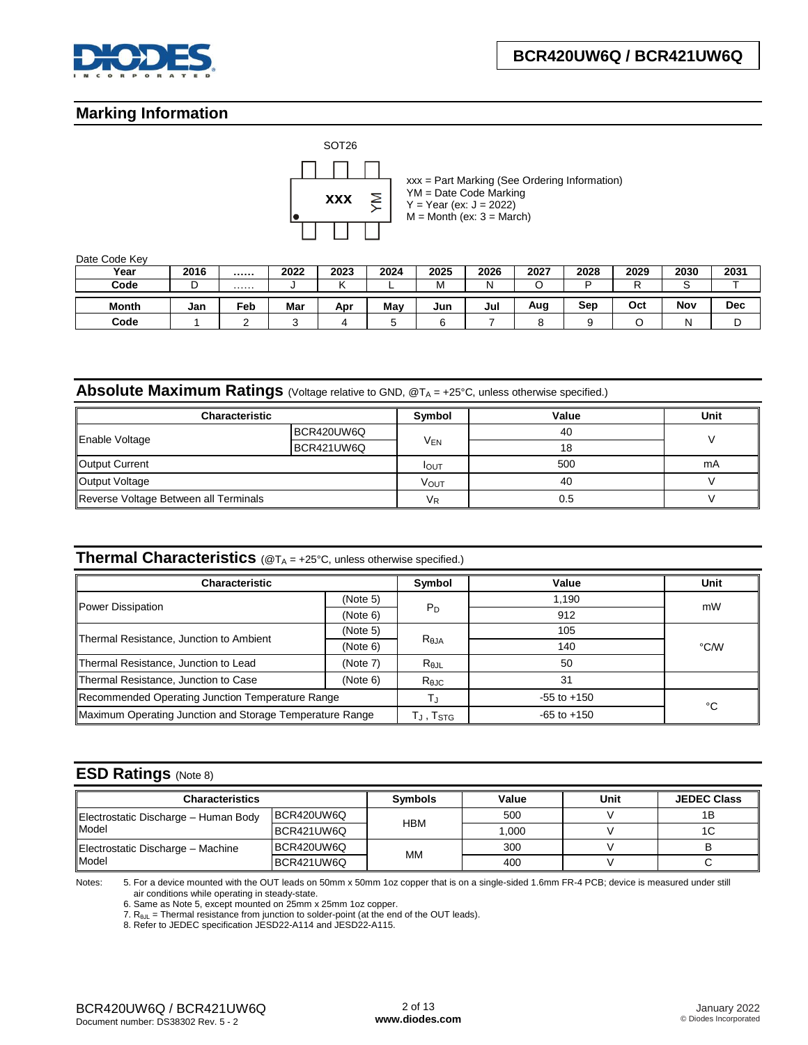

## **Marking Information**



Date Code Key

| ----------- |      |     |      |      |      |      |      |      |      |      |      |            |
|-------------|------|-----|------|------|------|------|------|------|------|------|------|------------|
| Year        | 2016 |     | 2022 | 2023 | 2024 | 2025 | 2026 | 2027 | 2028 | 2029 | 2030 | 2031       |
| Code        |      | .   |      |      |      | M    | N    |      | ∽    |      |      |            |
|             |      |     |      |      |      |      |      |      |      |      |      |            |
| Month       | Jan  | Feb | Mar  | Apr  | May  | Jun  | Jul  | Aug  | Sep  | Oct  | Nov  | <b>Dec</b> |
| Code        |      |     |      |      |      |      |      |      |      |      |      | ◡          |

## Absolute Maximum Ratings (Voltage relative to GND, @T<sub>A</sub> = +25°C, unless otherwise specified.)

| Characteristic                        |            | Symbol       | Value | <b>Unit</b> |  |
|---------------------------------------|------------|--------------|-------|-------------|--|
| Enable Voltage                        | BCR420UW6Q |              | 40    |             |  |
|                                       | BCR421UW6Q | <b>VEN</b>   | 18    |             |  |
| Output Current                        |            | <b>I</b> OUT | 500   | mA          |  |
| Output Voltage                        |            | VOUT         | 40    |             |  |
| Reverse Voltage Between all Terminals |            | $V_{R}$      | 0.5   |             |  |

### **Thermal Characteristics** (@T<sup>A</sup> = +25°C, unless otherwise specified.)

| <b>Characteristic</b>                                    |                                                         | Symbol          | Value           | Unit |  |
|----------------------------------------------------------|---------------------------------------------------------|-----------------|-----------------|------|--|
|                                                          | (Note 5)                                                |                 | 1.190           | mW   |  |
| Power Dissipation                                        | (Note 6)                                                | P <sub>D</sub>  | 912             |      |  |
| Thermal Resistance, Junction to Ambient                  | (Note 5)                                                |                 | 105             |      |  |
|                                                          | (Note 6)                                                | $R_{\theta,JA}$ | 140             | °C/W |  |
| Thermal Resistance, Junction to Lead                     | (Note 7)                                                | $R_{\theta$ JL  | 50              |      |  |
| Thermal Resistance, Junction to Case<br>(Note 6)         |                                                         | $R_{0,IC}$      | 31              |      |  |
| Recommended Operating Junction Temperature Range         |                                                         |                 | $-55$ to $+150$ | °C   |  |
| Maximum Operating Junction and Storage Temperature Range | $\mathsf{T}_{\mathsf{J}}$ , $\mathsf{T}_{\mathsf{STG}}$ | $-65$ to $+150$ |                 |      |  |

#### **ESD Ratings** (Note 8)

| <b>Characteristics</b>                          |            | <b>Symbols</b> | Value | Unit | <b>JEDEC Class</b> |
|-------------------------------------------------|------------|----------------|-------|------|--------------------|
| Electrostatic Discharge - Human Body            | BCR420UW6Q | <b>HBM</b>     | 500   |      | 1B                 |
| Model                                           | BCR421UW6Q |                | 1.000 |      |                    |
| BCR420UW6Q<br>Electrostatic Discharge - Machine |            | MM             | 300   |      |                    |
| Model                                           | BCR421UW6Q |                | 400   |      |                    |

Notes: 5. For a device mounted with the OUT leads on 50mm x 50mm 1oz copper that is on a single-sided 1.6mm FR-4 PCB; device is measured under still air conditions while operating in steady-state.

6. Same as Note 5, except mounted on 25mm x 25mm 1oz copper.

7.  $R_{\theta JL}$  = Thermal resistance from junction to solder-point (at the end of the OUT leads).

8. Refer to JEDEC specification JESD22-A114 and JESD22-A115.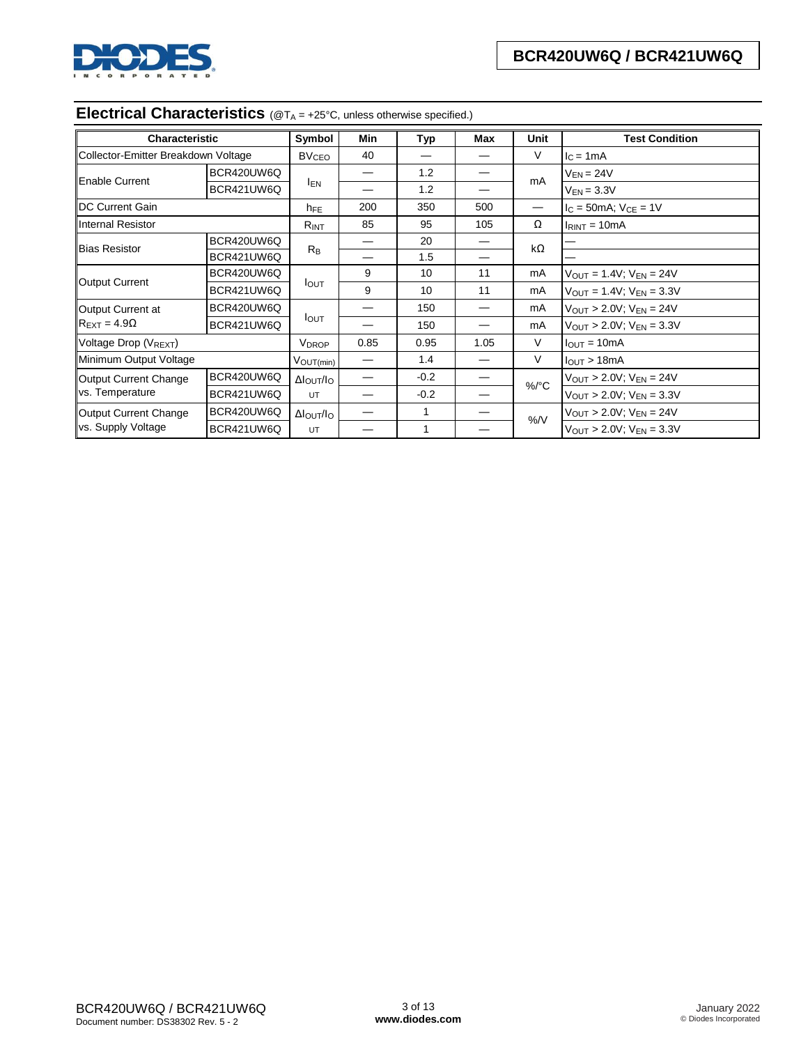

## **Electrical Characteristics** (@T<sub>A</sub> = +25°C, unless otherwise specified.)

| Characteristic                           |            | Symbol                            | Min  | Typ    | Max  | <b>Unit</b> | <b>Test Condition</b>                              |
|------------------------------------------|------------|-----------------------------------|------|--------|------|-------------|----------------------------------------------------|
| Collector-Emitter Breakdown Voltage      |            | <b>BV<sub>CEO</sub></b>           | 40   |        |      | V           | $IC = 1mA$                                         |
|                                          | BCR420UW6Q |                                   |      | 1.2    |      | mA          | $V_{EN} = 24V$                                     |
| <b>Enable Current</b>                    | BCR421UW6Q | <b>IEN</b>                        |      | 1.2    |      |             | $V_{EN} = 3.3V$                                    |
| <b>IDC Current Gain</b>                  |            | h <sub>FE</sub>                   | 200  | 350    | 500  | —           | $IC$ = 50mA; $VCE$ = 1V                            |
| <b>Internal Resistor</b>                 |            | $R_{INT}$                         | 85   | 95     | 105  | Ω           | $I_{RINT} = 10mA$                                  |
|                                          | BCR420UW6Q |                                   |      | 20     |      |             |                                                    |
| <b>Bias Resistor</b>                     | BCR421UW6Q | $R_B$                             |      | 1.5    |      | kΩ          |                                                    |
|                                          | BCR420UW6Q | <b>I</b> OUT                      | 9    | 10     | 11   | mA          | $V_{OUT} = 1.4V$ ; $V_{EN} = 24V$                  |
| Output Current                           | BCR421UW6Q |                                   | 9    | 10     | 11   | mA          | $V_{OUT} = 1.4V$ ; $V_{EN} = 3.3V$                 |
| Output Current at                        | BCR420UW6Q |                                   |      | 150    |      | mA          | $V_{\text{OUT}} > 2.0 V$ ; $V_{\text{EN}} = 24 V$  |
| $R_{\text{EXT}} = 4.9\Omega$             | BCR421UW6Q | $I_{\text{OUT}}$                  |      | 150    |      | mA          | $V_{\text{OUT}} > 2.0 V$ ; $V_{\text{EN}} = 3.3 V$ |
| Voltage Drop (VREXT)                     |            | <b>VDROP</b>                      | 0.85 | 0.95   | 1.05 | V           | $IOUT = 10mA$                                      |
| Minimum Output Voltage                   |            | $V$ OUT(min)                      |      | 1.4    |      | V           | I <sub>OUT</sub> > 18mA                            |
| Output Current Change<br>vs. Temperature | BCR420UW6Q | ΔΙουτ/Ιο                          |      | $-0.2$ |      |             | $V_{OUT} > 2.0V$ ; $V_{EN} = 24V$                  |
|                                          | BCR421UW6Q | UT                                |      | $-0.2$ |      | $\%$ /°C    | $V_{OUT} > 2.0V$ ; $V_{EN} = 3.3V$                 |
| Output Current Change                    | BCR420UW6Q | ΔΙ <sub>Ουτ</sub> /Ι <sub>Ο</sub> |      | 1      |      |             | $V_{OUT} > 2.0 V$ ; $V_{EN} = 24 V$                |
| vs. Supply Voltage                       | BCR421UW6Q | UT                                |      | 1      |      | %N          | $V_{\text{OUT}} > 2.0 V$ ; $V_{\text{EN}} = 3.3 V$ |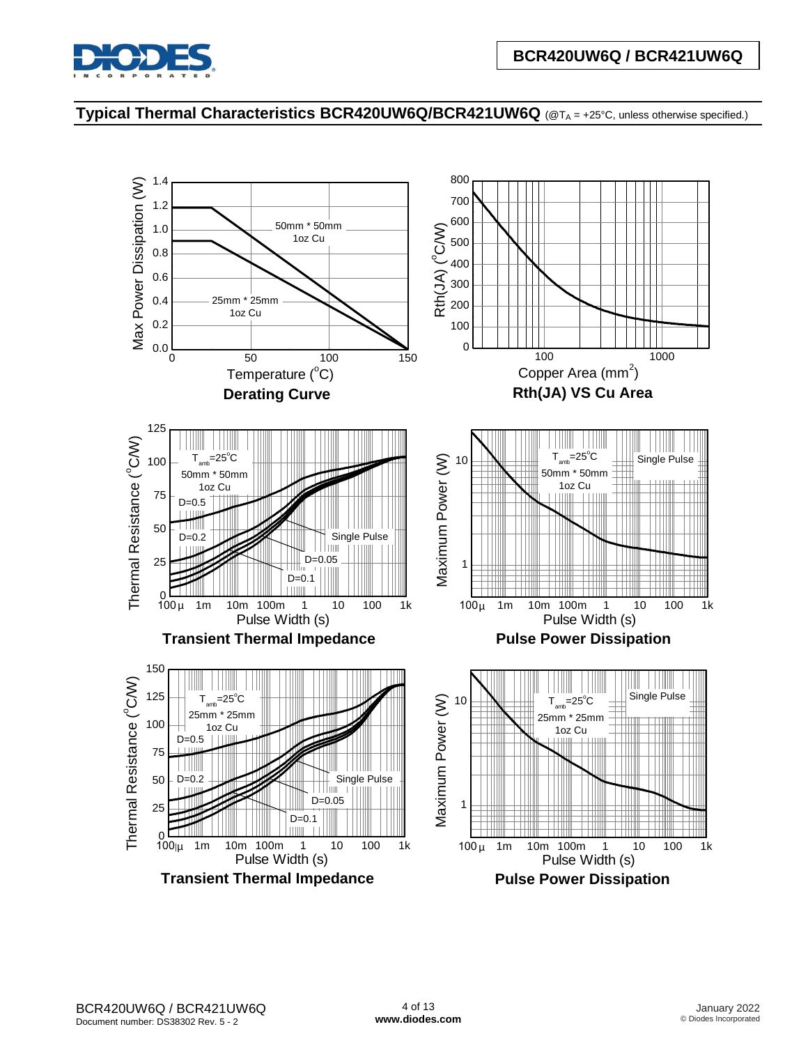

**Typical Thermal Characteristics BCR420UW6Q/BCR421UW6Q** (@T<sup>A</sup> = +25°C, unless otherwise specified.)

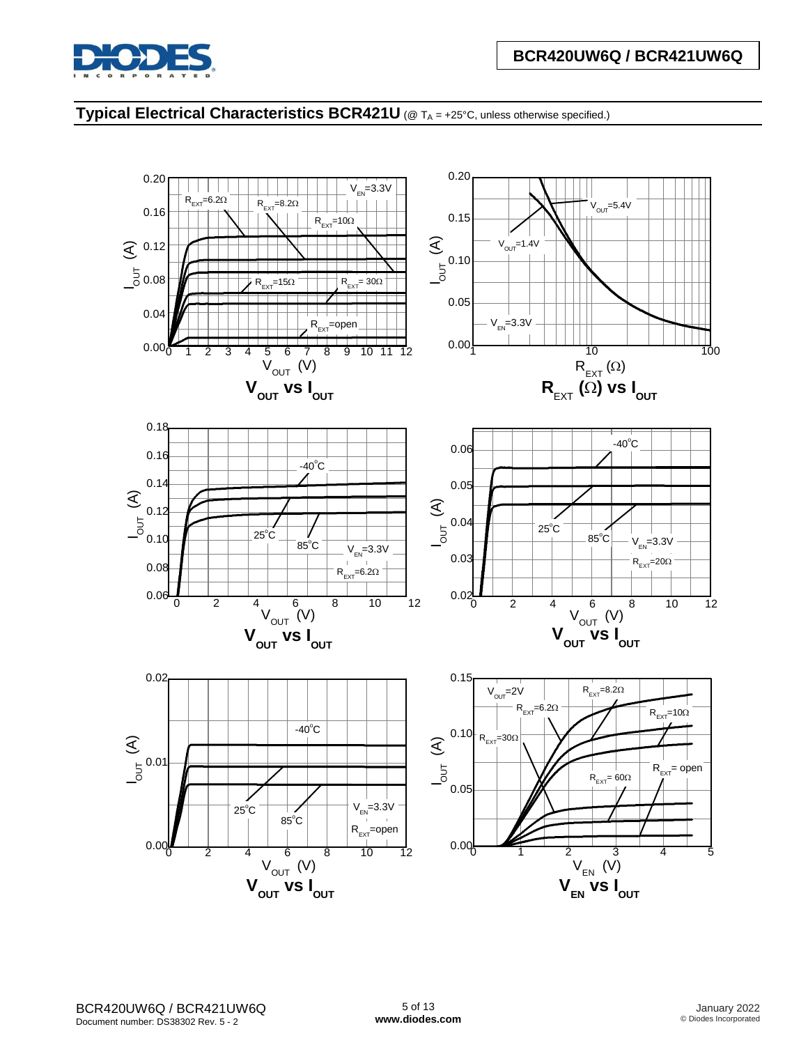

# **Typical Electrical Characteristics BCR421U** (@ TA = +25°C, unless otherwise specified.)

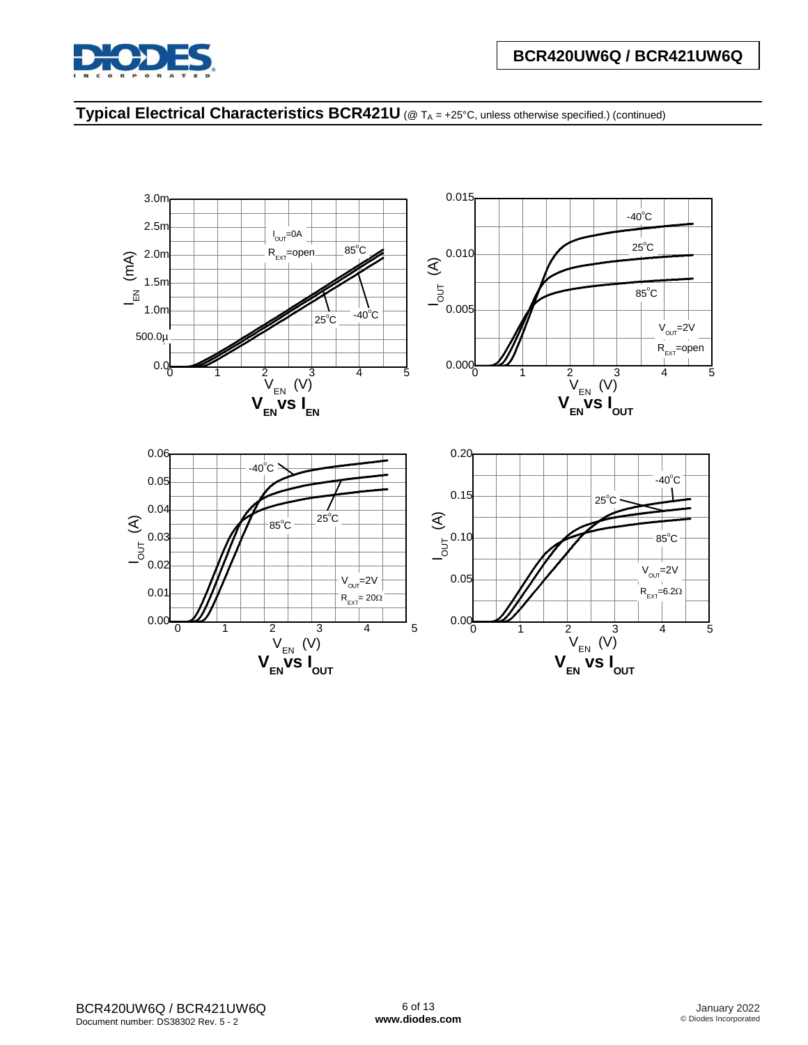

# **Typical Electrical Characteristics BCR421U** (@ TA = +25°C, unless otherwise specified.) (continued)

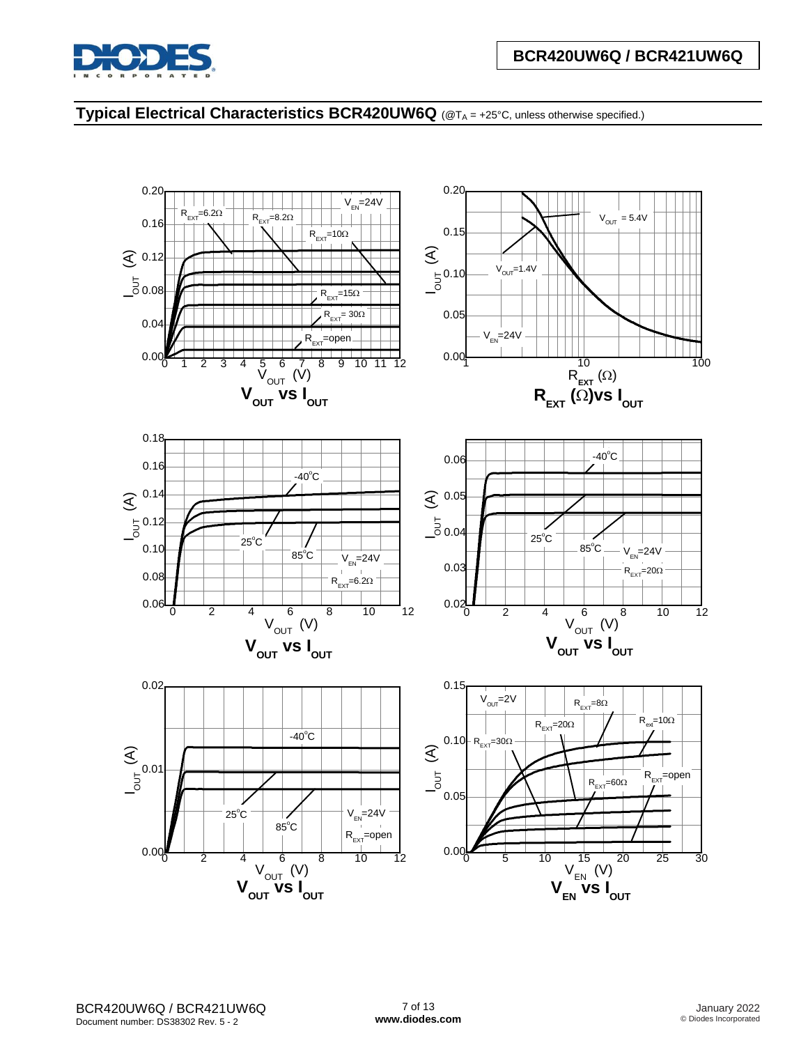

## **Typical Electrical Characteristics BCR420UW6Q** (@TA = +25°C, unless otherwise specified.)

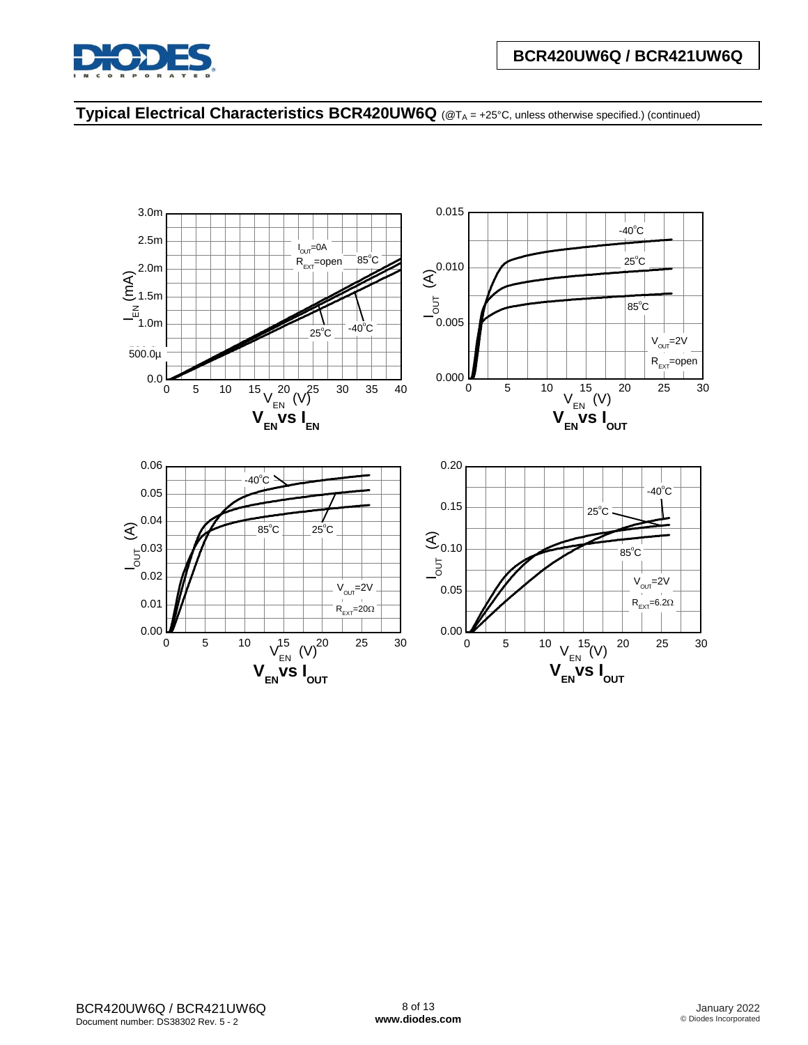

# **Typical Electrical Characteristics BCR420UW6Q** (@T<sub>A</sub> = +25°C, unless otherwise specified.) (continued)

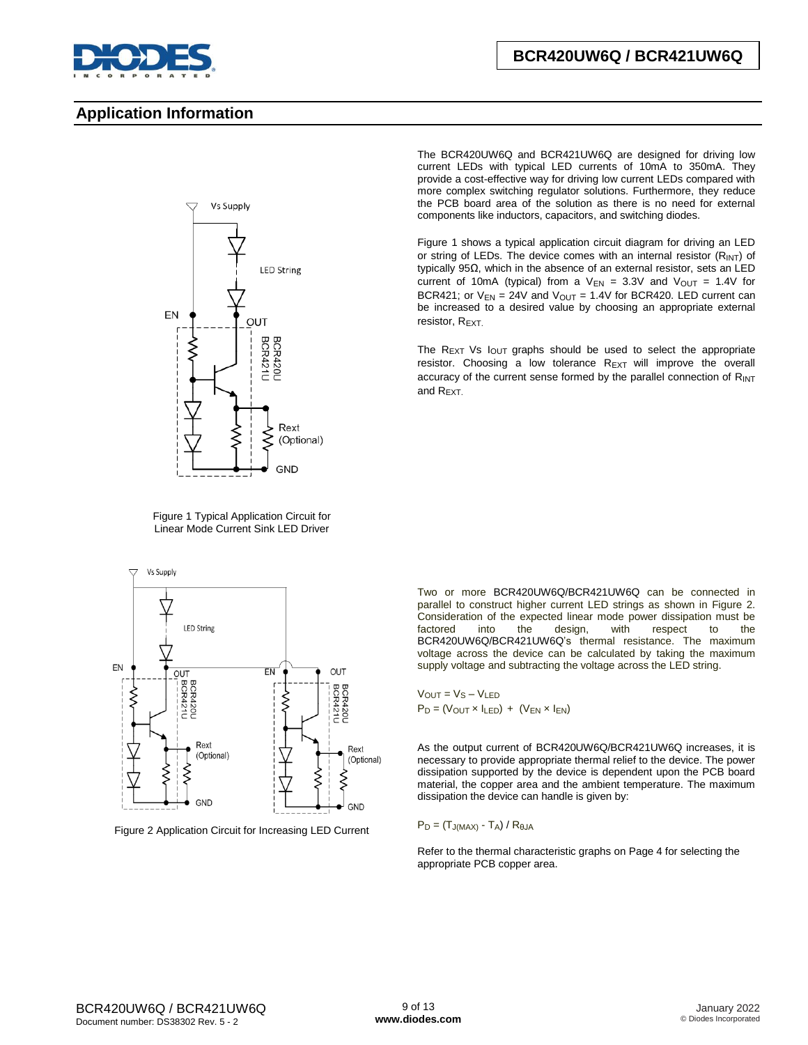

## **Application Information**



Figure 1 Typical Application Circuit for Linear Mode Current Sink LED Driver



Figure 2 Application Circuit for Increasing LED Current

The BCR420UW6Q and BCR421UW6Q are designed for driving low current LEDs with typical LED currents of 10mA to 350mA. They provide a cost-effective way for driving low current LEDs compared with more complex switching regulator solutions. Furthermore, they reduce the PCB board area of the solution as there is no need for external components like inductors, capacitors, and switching diodes.

Figure 1 shows a typical application circuit diagram for driving an LED or string of LEDs. The device comes with an internal resistor  $(R_{INT})$  of typically 95Ω, which in the absence of an external resistor, sets an LED current of 10mA (typical) from a  $V_{EN} = 3.3V$  and  $V_{OUT} = 1.4V$  for BCR421; or  $V_{EN} = 24V$  and  $V_{OUT} = 1.4V$  for BCR420. LED current can be increased to a desired value by choosing an appropriate external resistor, REXT.

The  $R_{EXT}$  Vs  $I_{OUT}$  graphs should be used to select the appropriate resistor. Choosing a low tolerance R<sub>EXT</sub> will improve the overall accuracy of the current sense formed by the parallel connection of R<sub>INT</sub> and REXT.

Two or more BCR420UW6Q/BCR421UW6Q can be connected in parallel to construct higher current LED strings as shown in Figure 2. Consideration of the expected linear mode power dissipation must be factored into the design, with respect to the design, BCR420UW6Q/BCR421UW6Q's thermal resistance. The maximum voltage across the device can be calculated by taking the maximum supply voltage and subtracting the voltage across the LED string.

 $V_{OUT} = V_S - V_{LED}$  $P_D = (V_{OUT} \times I_{LED}) + (V_{EN} \times I_{EN})$ 

As the output current of BCR420UW6Q/BCR421UW6Q increases, it is necessary to provide appropriate thermal relief to the device. The power dissipation supported by the device is dependent upon the PCB board material, the copper area and the ambient temperature. The maximum dissipation the device can handle is given by:

$$
P_D = (T_{J(MAX)} - T_A) / R_{\theta JA}
$$

Refer to the thermal characteristic graphs on Page 4 for selecting the appropriate PCB copper area.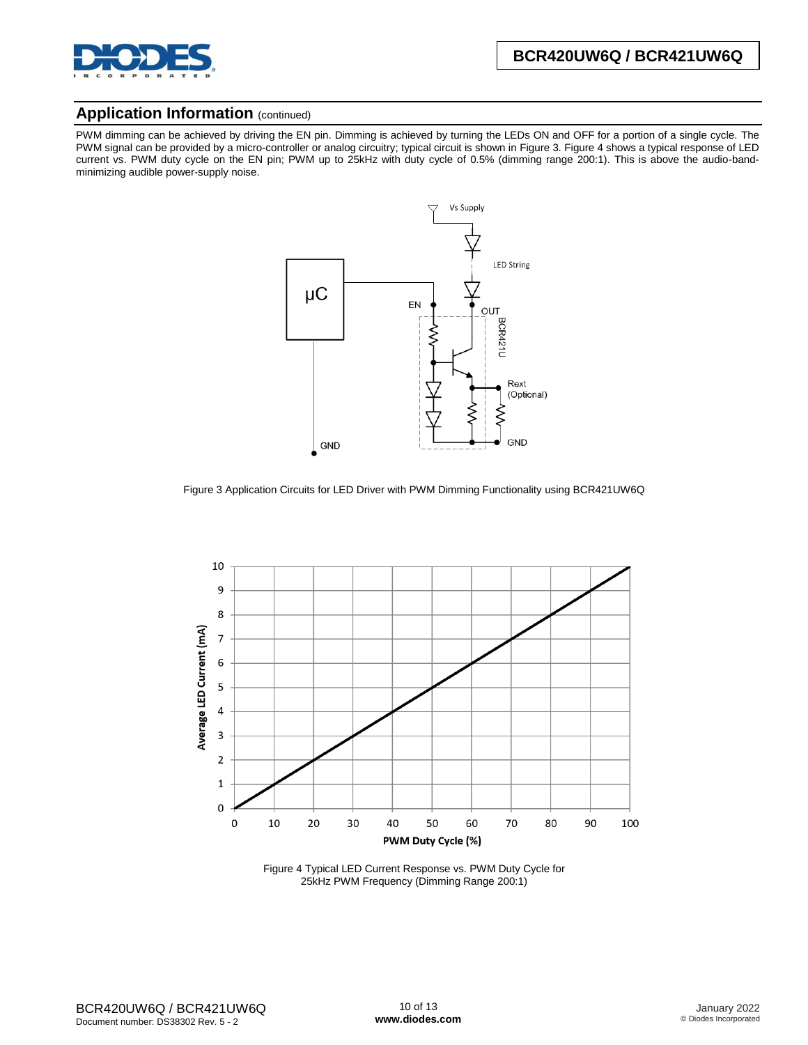

### **Application Information (continued)**

PWM dimming can be achieved by driving the EN pin. Dimming is achieved by turning the LEDs ON and OFF for a portion of a single cycle. The PWM signal can be provided by a micro-controller or analog circuitry; typical circuit is shown in Figure 3. Figure 4 shows a typical response of LED current vs. PWM duty cycle on the EN pin; PWM up to 25kHz with duty cycle of 0.5% (dimming range 200:1). This is above the audio-bandminimizing audible power-supply noise.



Figure 3 Application Circuits for LED Driver with PWM Dimming Functionality using BCR421UW6Q



Figure 4 Typical LED Current Response vs. PWM Duty Cycle for 25kHz PWM Frequency (Dimming Range 200:1)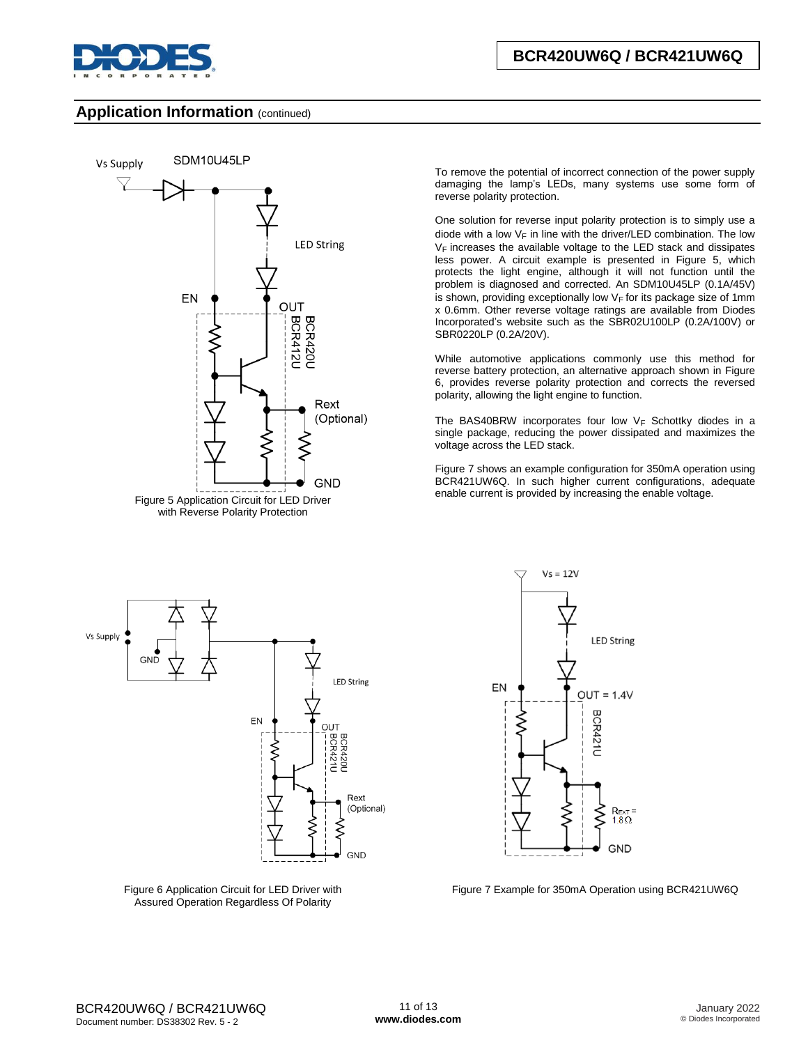



#### **Application Information** (continued)



To remove the potential of incorrect connection of the power supply damaging the lamp's LEDs, many systems use some form of reverse polarity protection.

One solution for reverse input polarity protection is to simply use a diode with a low  $V_F$  in line with the driver/LED combination. The low  $V_F$  increases the available voltage to the LED stack and dissipates less power. A circuit example is presented in Figure 5, which protects the light engine, although it will not function until the problem is diagnosed and corrected. An SDM10U45LP (0.1A/45V) is shown, providing exceptionally low  $V_F$  for its package size of 1mm x 0.6mm. Other reverse voltage ratings are available from Diodes Incorporated's website such as the SBR02U100LP (0.2A/100V) or SBR0220LP (0.2A/20V).

While automotive applications commonly use this method for reverse battery protection, an alternative approach shown in Figure 6, provides reverse polarity protection and corrects the reversed polarity, allowing the light engine to function.

The BAS40BRW incorporates four low  $V_F$  Schottky diodes in a single package, reducing the power dissipated and maximizes the voltage across the LED stack.

Figure 7 shows an example configuration for 350mA operation using BCR421UW6Q. In such higher current configurations, adequate



Figure 6 Application Circuit for LED Driver with Assured Operation Regardless Of Polarity



Figure 7 Example for 350mA Operation using BCR421UW6Q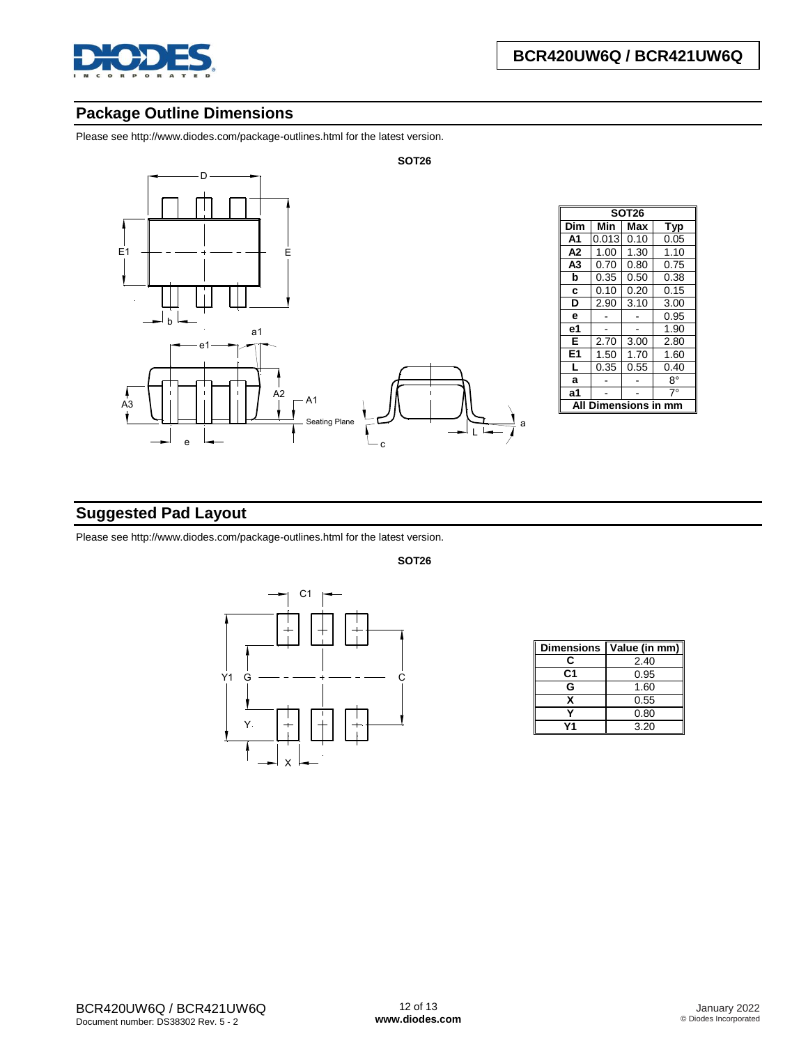

### **Package Outline Dimensions**

Please see http://www.diodes.com/package-outlines.html for the latest version.



| Dim            | Min   | Max  | <b>Typ</b> |  |  |  |  |  |
|----------------|-------|------|------------|--|--|--|--|--|
| A <sub>1</sub> | 0.013 | 0.10 | 0.05       |  |  |  |  |  |
| A <sub>2</sub> | 1.00  | 1.30 | 1.10       |  |  |  |  |  |
| A <sub>3</sub> | 0.70  | 0.80 | 0.75       |  |  |  |  |  |
| b              | 0.35  | 0.50 | 0.38       |  |  |  |  |  |
| c              | 0.10  | 0.20 | 0.15       |  |  |  |  |  |
| D              | 2.90  | 3.10 | 3.00       |  |  |  |  |  |
| е              |       |      | 0.95       |  |  |  |  |  |
| е1             |       |      | 1.90       |  |  |  |  |  |
| E              | 2.70  | 3.00 | 2.80       |  |  |  |  |  |
| E <sub>1</sub> | 1.50  | 1.70 | 1.60       |  |  |  |  |  |
| L              | 0.35  | 0.55 | 0.40       |  |  |  |  |  |
| a              |       |      | 8°         |  |  |  |  |  |
| а1             |       |      | $7^\circ$  |  |  |  |  |  |
| nensions       |       |      |            |  |  |  |  |  |

# **Suggested Pad Layout**

Please see http://www.diodes.com/package-outlines.html for the latest version.



| <b>Dimensions</b> | Value (in mm) |
|-------------------|---------------|
| C                 | 2.40          |
| C1                | 0.95          |
| G                 | 1.60          |
| x                 | 0.55          |
|                   | 0.80          |
|                   | 3.20          |

**SOT26**